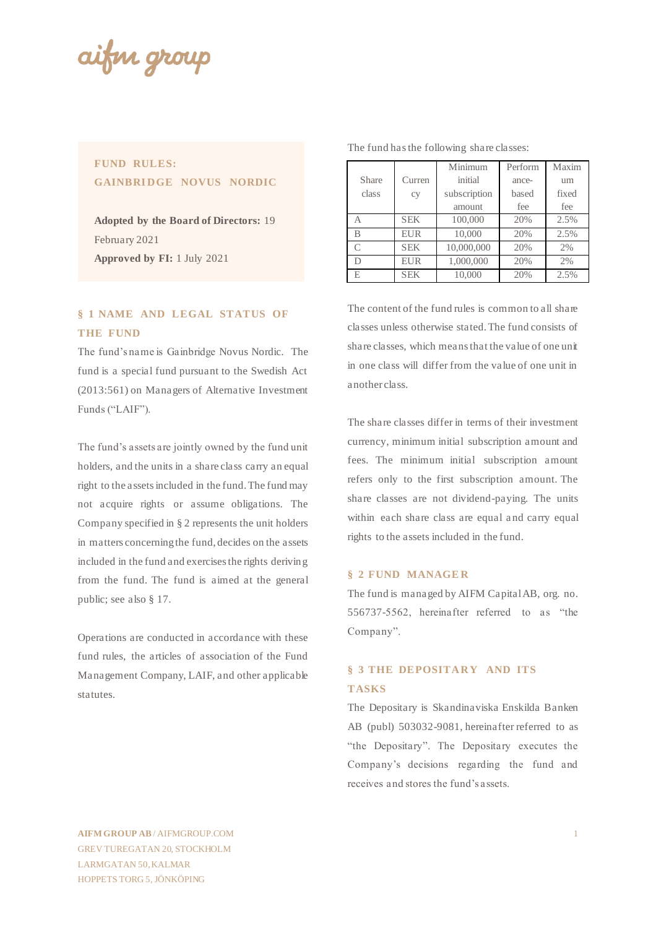aifin group

## **FUND RULES: GAINBRIDGE NOVUS NORDIC**

**Adopted by the Board of Directors:** 19 February 2021 **Approved by FI:** 1 July 2021

## **§ 1 NAME AND LEGAL STATUS OF THE FUND**

The fund's name is Gainbridge Novus Nordic. The fund is a special fund pursuant to the Swedish Act (2013:561) on Managers of Alternative Investment Funds ("LAIF").

The fund's assets are jointly owned by the fund unit holders, and the units in a share class carry an equal right to the assets included in the fund. The fund may not acquire rights or assume obligations. The Company specified in § 2 represents the unit holders in matters concerning the fund, decides on the assets included in the fund and exercises the rights deriving from the fund. The fund is aimed at the general public; see also § 17.

Operations are conducted in accordance with these fund rules, the articles of association of the Fund Management Company, LAIF, and other applicable statutes.

|           |            | Minimum      | Perform | Maxim       |  |
|-----------|------------|--------------|---------|-------------|--|
| Share     | Curren     | initial      | ance-   | um<br>fixed |  |
| class     | cy         | subscription | based   |             |  |
|           |            | amount       | fee     | fee         |  |
| А         | <b>SEK</b> | 100,000      | 20%     | 2.5%        |  |
| B         | <b>EUR</b> | 10,000       | 20%     | 2.5%        |  |
| $\subset$ | <b>SEK</b> | 10,000,000   | 20%     | 2%          |  |
|           | <b>EUR</b> | 1,000,000    | 20%     | 2%          |  |
| E.        | <b>SEK</b> | 10,000       | 20%     | 2.5%        |  |

The fund has the following share classes:

The content of the fund rules is common to all share classes unless otherwise stated. The fund consists of share classes, which means that the value of one unit in one class will differ from the value of one unit in another class.

The share classes differ in terms of their investment currency, minimum initial subscription amount and fees. The minimum initial subscription amount refers only to the first subscription amount. The share classes are not dividend-paying. The units within each share class are equal and carry equal rights to the assets included in the fund.

## **§ 2 FUND MANAGE R**

The fund is managed by AIFM Capital AB, org. no. 556737-5562, hereinafter referred to as "the Company".

# **§ 3 THE DEPOSITARY AND ITS TASKS**

The Depositary is Skandinaviska Enskilda Banken AB (publ) 503032-9081, hereinafter referred to as "the Depositary". The Depositary executes the Company's decisions regarding the fund and receives and stores the fund's assets.

**AIFM GROUP AB** / AIFMGROUP.COM GREV TUREGATAN 20, STOCKHOLM LARMGATAN 50, KALMAR HOPPETS TORG 5, JÖNKÖPING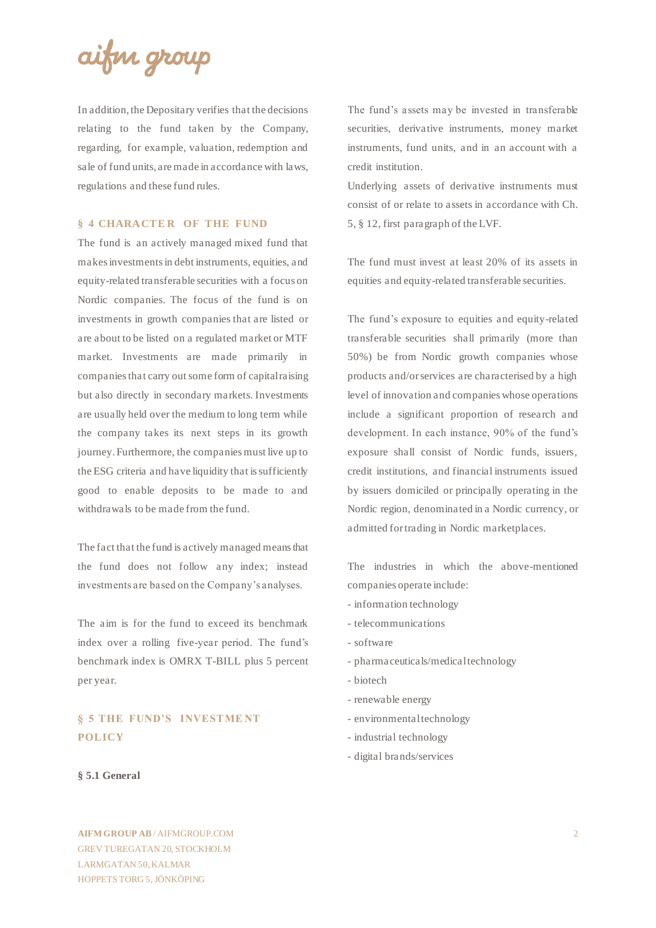

In addition, the Depositary verifies that the decisions relating to the fund taken by the Company, regarding, for example, valuation, redemption and sale of fund units, are made in accordance with laws, regulations and these fund rules.

## **§ 4 CHARACTER OF THE FUND**

The fund is an actively managed mixed fund that makes investments in debt instruments, equities, and equity-related transferable securities with a focus on Nordic companies. The focus of the fund is on investments in growth companies that are listed or are about to be listed on a regulated market or MTF market. Investments are made primarily in companies that carry out some form of capital raising but also directly in secondary markets. Investments are usually held over the medium to long term while the company takes its next steps in its growth journey. Furthermore, the companies must live up to the ESG criteria and have liquidity that is sufficiently good to enable deposits to be made to and withdrawals to be made from the fund.

The fact that the fund is actively managed means that the fund does not follow any index; instead investments are based on the Company's analyses.

The aim is for the fund to exceed its benchmark index over a rolling five-year period. The fund's benchmark index is OMRX T-BILL plus 5 percent per year.

# **§ 5 THE FUND'S INVESTME NT POLICY**

#### **§ 5.1 General**

**AIFM GROUP AB** / AIFMGROUP.COM GREV TUREGATAN 20, STOCKHOLM LARMGATAN 50, KALMAR HOPPETS TORG 5, JÖNKÖPING

The fund's assets may be invested in transferable securities, derivative instruments, money market instruments, fund units, and in an account with a credit institution.

Underlying assets of derivative instruments must consist of or relate to assets in accordance with Ch. 5, § 12, first paragraph of the LVF.

The fund must invest at least 20% of its assets in equities and equity-related transferable securities.

The fund's exposure to equities and equity-related transferable securities shall primarily (more than 50%) be from Nordic growth companies whose products and/or services are characterised by a high level of innovation and companies whose operations include a significant proportion of research and development. In each instance, 90% of the fund's exposure shall consist of Nordic funds, issuers, credit institutions, and financial instruments issued by issuers domiciled or principally operating in the Nordic region, denominated in a Nordic currency, or admitted for trading in Nordic marketplaces.

The industries in which the above-mentioned companies operate include:

- information technology
- telecommunications
- software
- pharmaceuticals/medical technology
- biotech
- renewable energy
- environmental technology
- industrial technology
- digital brands/services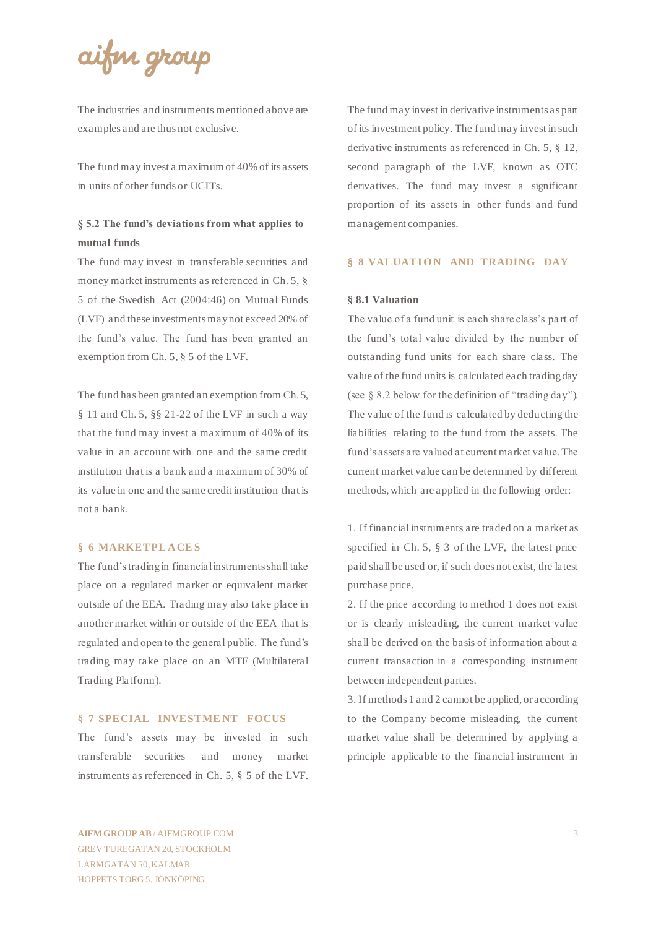# aifin group

The industries and instruments mentioned above are examples and are thus not exclusive.

The fund may invest a maximum of 40% of its assets in units of other funds or UCITs.

# **§ 5.2 The fund's deviations from what applies to mutual funds**

The fund may invest in transferable securities and money market instruments as referenced in Ch. 5, § 5 of the Swedish Act (2004:46) on Mutual Funds (LVF) and these investments may not exceed 20% of the fund's value. The fund has been granted an exemption from Ch. 5, § 5 of the LVF.

The fund has been granted an exemption from Ch. 5, § 11 and Ch. 5, §§ 21-22 of the LVF in such a way that the fund may invest a maximum of 40% of its value in an account with one and the same credit institution that is a bank and a maximum of 30% of its value in one and the same credit institution that is not a bank.

## **§ 6 MARKETPL ACE S**

The fund's trading in financial instruments shall take place on a regulated market or equivalent market outside of the EEA. Trading may also take place in another market within or outside of the EEA that is regulated and open to the general public. The fund's trading may take place on an MTF (Multilateral Trading Platform).

## **§ 7 SPECIAL INVESTME NT FOCUS**

The fund's assets may be invested in such transferable securities and money market instruments as referenced in Ch. 5, § 5 of the LVF. The fund may invest in derivative instruments as part of its investment policy. The fund may invest in such derivative instruments as referenced in Ch. 5, § 12, second paragraph of the LVF, known as OTC derivatives. The fund may invest a significant proportion of its assets in other funds and fund management companies.

## **§ 8 VALUATION AND TRADING DAY**

#### **§ 8.1 Valuation**

The value of a fund unit is each share class's pa rt of the fund's total value divided by the number of outstanding fund units for each share class. The value of the fund units is calculated each trading day (see § 8.2 below for the definition of "trading day"). The value of the fund is calculated by deducting the liabilities relating to the fund from the assets. The fund's assets are valued at current market value. The current market value can be determined by different methods, which are applied in the following order:

1. If financial instruments are traded on a market as specified in Ch. 5, § 3 of the LVF, the latest price paid shall be used or, if such does not exist, the latest purchase price.

2. If the price according to method 1 does not exist or is clearly misleading, the current market value shall be derived on the basis of information about a current transaction in a corresponding instrument between independent parties.

3. If methods 1 and 2 cannot be applied, or according to the Company become misleading, the current market value shall be determined by applying a principle applicable to the financial instrument in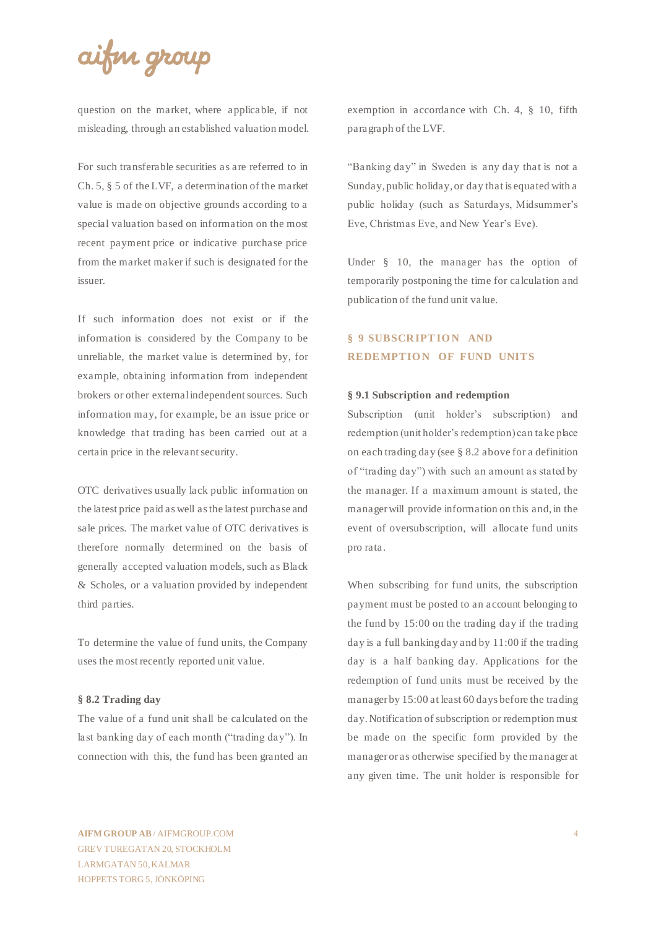# aifin group

question on the market, where applicable, if not misleading, through an established valuation model.

For such transferable securities as are referred to in Ch. 5, § 5 of the LVF, a determination of the market value is made on objective grounds according to a special valuation based on information on the most recent payment price or indicative purchase price from the market maker if such is designated for the issuer.

If such information does not exist or if the information is considered by the Company to be unreliable, the market value is determined by, for example, obtaining information from independent brokers or other external independent sources. Such information may, for example, be an issue price or knowledge that trading has been carried out at a certain price in the relevant security.

OTC derivatives usually lack public information on the latest price paid as well as the latest purchase and sale prices. The market value of OTC derivatives is therefore normally determined on the basis of generally accepted valuation models, such as Black & Scholes, or a valuation provided by independent third parties.

To determine the value of fund units, the Company uses the most recently reported unit value.

#### **§ 8.2 Trading day**

The value of a fund unit shall be calculated on the last banking day of each month ("trading day"). In connection with this, the fund has been granted an

exemption in accordance with Ch. 4, § 10, fifth paragraph of the LVF.

"Banking day" in Sweden is any day that is not a Sunday, public holiday, or day that is equated with a public holiday (such as Saturdays, Midsummer's Eve, Christmas Eve, and New Year's Eve).

Under § 10, the manager has the option of temporarily postponing the time for calculation and publication of the fund unit value.

# **§ 9 SUBSCRIPTION AND REDEMPTION OF FUND UNITS**

#### **§ 9.1 Subscription and redemption**

Subscription (unit holder's subscription) and redemption (unit holder's redemption) can take place on each trading day (see § 8.2 above for a definition of "trading day") with such an amount as stated by the manager. If a maximum amount is stated, the manager will provide information on this and, in the event of oversubscription, will allocate fund units pro rata.

When subscribing for fund units, the subscription payment must be posted to an account belonging to the fund by 15:00 on the trading day if the trading day is a full banking day and by 11:00 if the trading day is a half banking day. Applications for the redemption of fund units must be received by the manager by 15:00 at least 60 days before the trading day. Notification of subscription or redemption must be made on the specific form provided by the manager or as otherwise specified by the manager at any given time. The unit holder is responsible for

**AIFM GROUP AB** / AIFMGROUP.COM GREV TUREGATAN 20, STOCKHOLM LARMGATAN 50, KALMAR HOPPETS TORG 5, JÖNKÖPING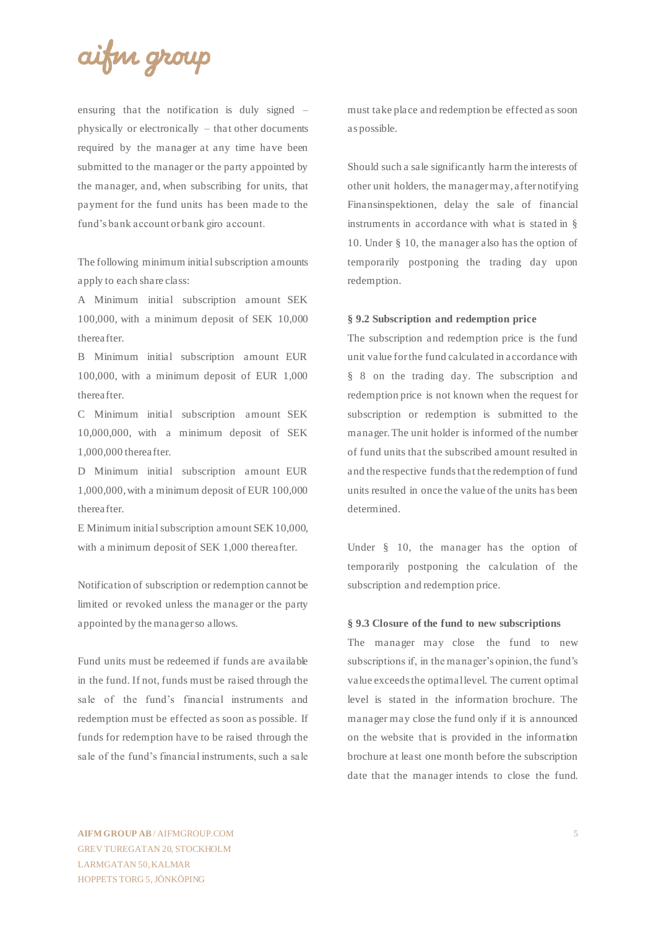

ensuring that the notification is duly signed – physically or electronically – that other documents required by the manager at any time have been submitted to the manager or the party appointed by the manager, and, when subscribing for units, that payment for the fund units has been made to the fund's bank account or bank giro account.

The following minimum initial subscription amounts apply to each share class:

A Minimum initial subscription amount SEK 100,000, with a minimum deposit of SEK 10,000 thereafter.

B Minimum initial subscription amount EUR 100,000, with a minimum deposit of EUR 1,000 thereafter.

C Minimum initial subscription amount SEK 10,000,000, with a minimum deposit of SEK 1,000,000 thereafter.

D Minimum initial subscription amount EUR 1,000,000, with a minimum deposit of EUR 100,000 thereafter.

E Minimum initial subscription amount SEK 10,000, with a minimum deposit of SEK 1,000 thereafter.

Notification of subscription or redemption cannot be limited or revoked unless the manager or the party appointed by the manager so allows.

Fund units must be redeemed if funds are available in the fund. If not, funds must be raised through the sale of the fund's financial instruments and redemption must be effected as soon as possible. If funds for redemption have to be raised through the sale of the fund's financial instruments, such a sale

must take place and redemption be effected as soon as possible.

Should such a sale significantly harm the interests of other unit holders, the manager may, after notifying Finansinspektionen, delay the sale of financial instruments in accordance with what is stated in § 10. Under § 10, the manager also has the option of temporarily postponing the trading day upon redemption.

### **§ 9.2 Subscription and redemption price**

The subscription and redemption price is the fund unit value for the fund calculated in accordance with § 8 on the trading day. The subscription and redemption price is not known when the request for subscription or redemption is submitted to the manager. The unit holder is informed of the number of fund units that the subscribed amount resulted in and the respective funds that the redemption of fund units resulted in once the value of the units has been determined.

Under § 10, the manager has the option of temporarily postponing the calculation of the subscription and redemption price.

#### **§ 9.3 Closure of the fund to new subscriptions**

The manager may close the fund to new subscriptions if, in the manager's opinion, the fund's value exceeds the optimal level. The current optimal level is stated in the information brochure. The manager may close the fund only if it is announced on the website that is provided in the information brochure at least one month before the subscription date that the manager intends to close the fund.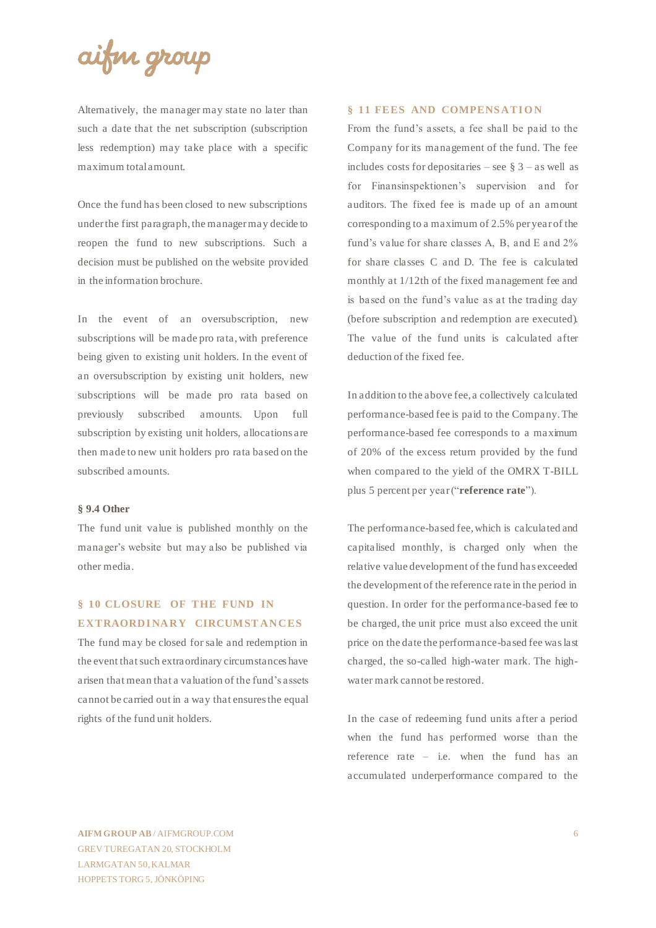# aifin group

Alternatively, the manager may state no later than such a date that the net subscription (subscription less redemption) may take place with a specific maximum total amount.

Once the fund has been closed to new subscriptions under the first paragraph, the manager may decide to reopen the fund to new subscriptions. Such a decision must be published on the website provided in the information brochure.

In the event of an oversubscription, new subscriptions will be made pro rata, with preference being given to existing unit holders. In the event of an oversubscription by existing unit holders, new subscriptions will be made pro rata based on previously subscribed amounts. Upon full subscription by existing unit holders, allocations are then made to new unit holders pro rata based on the subscribed amounts.

#### **§ 9.4 Other**

The fund unit value is published monthly on the manager's website but may also be published via other media.

# **§ 10 CLOSURE OF THE FUND IN EXTRAORDINARY CIRCUMSTANCES**

The fund may be closed for sale and redemption in the event that such extraordinary circumstances have arisen that mean that a valuation of the fund's assets cannot be carried out in a way that ensures the equal rights of the fund unit holders.

## **§ 11 FEES AND COMPENSATION**

From the fund's assets, a fee shall be paid to the Company for its management of the fund. The fee includes costs for depositaries – see  $\S$  3 – as well as for Finansinspektionen's supervision and for auditors. The fixed fee is made up of an amount corresponding to a maximum of 2.5% per year of the fund's value for share classes A, B, and E and 2% for share classes C and D. The fee is calculated monthly at 1/12th of the fixed management fee and is based on the fund's value as at the trading day (before subscription and redemption are executed). The value of the fund units is calculated after deduction of the fixed fee.

In addition to the above fee, a collectively calculated performance-based fee is paid to the Company. The performance-based fee corresponds to a maximum of 20% of the excess return provided by the fund when compared to the yield of the OMRX T-BILL plus 5 percent per year ("**reference rate**").

The performance-based fee, which is calculated and capitalised monthly, is charged only when the relative value development of the fund has exceeded the development of the reference rate in the period in question. In order for the performance-based fee to be charged, the unit price must also exceed the unit price on the date the performance-based fee was last charged, the so-called high-water mark. The highwater mark cannot be restored.

In the case of redeeming fund units after a period when the fund has performed worse than the reference rate – i.e. when the fund has an accumulated underperformance compared to the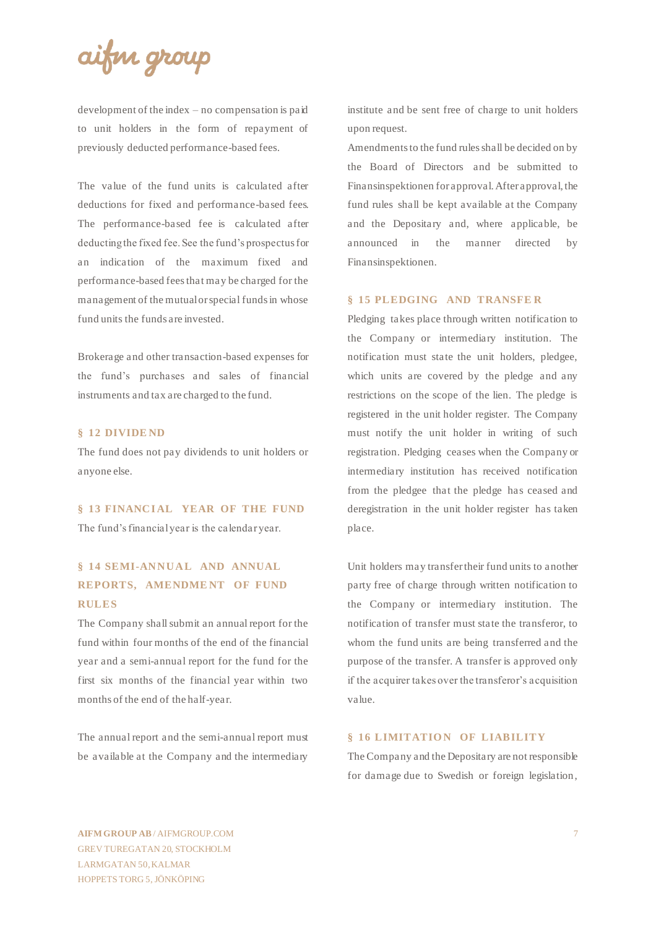aifin group

development of the index – no compensation is paid to unit holders in the form of repayment of previously deducted performance-based fees.

The value of the fund units is calculated after deductions for fixed and performance-based fees. The performance-based fee is calculated after deducting the fixed fee. See the fund's prospectus for an indication of the maximum fixed and performance-based fees that may be charged for the management of the mutual or special funds in whose fund units the funds are invested.

Brokerage and other transaction-based expenses for the fund's purchases and sales of financial instruments and tax are charged to the fund.

#### **§ 12 DIVIDE ND**

The fund does not pay dividends to unit holders or anyone else.

§ 13 FINANCIAL YEAR OF THE FUND The fund's financial year is the calendar year.

# **§ 14 SEMI-ANNUAL AND ANNUAL REPORTS, AMENDMENT OF FUND RULES**

The Company shall submit an annual report for the fund within four months of the end of the financial year and a semi-annual report for the fund for the first six months of the financial year within two months of the end of the half-year.

The annual report and the semi-annual report must be available at the Company and the intermediary

institute and be sent free of charge to unit holders upon request.

Amendments to the fund rules shall be decided on by the Board of Directors and be submitted to Finansinspektionen for approval. After approval, the fund rules shall be kept available at the Company and the Depositary and, where applicable, be announced in the manner directed by Finansinspektionen.

#### **§ 15 PLEDGING AND TRANSFE R**

Pledging takes place through written notification to the Company or intermediary institution. The notification must state the unit holders, pledgee, which units are covered by the pledge and any restrictions on the scope of the lien. The pledge is registered in the unit holder register. The Company must notify the unit holder in writing of such registration. Pledging ceases when the Company or intermediary institution has received notification from the pledgee that the pledge has ceased and deregistration in the unit holder register has taken place.

Unit holders may transfer their fund units to another party free of charge through written notification to the Company or intermediary institution. The notification of transfer must state the transferor, to whom the fund units are being transferred and the purpose of the transfer. A transfer is approved only if the acquirer takes over the transferor's acquisition value.

### **§ 16 LIMITATION OF LIABILITY**

The Company and the Depositary are not responsible for damage due to Swedish or foreign legislation,

**AIFM GROUP AB** / AIFMGROUP.COM GREV TUREGATAN 20, STOCKHOLM LARMGATAN 50, KALMAR HOPPETS TORG 5, JÖNKÖPING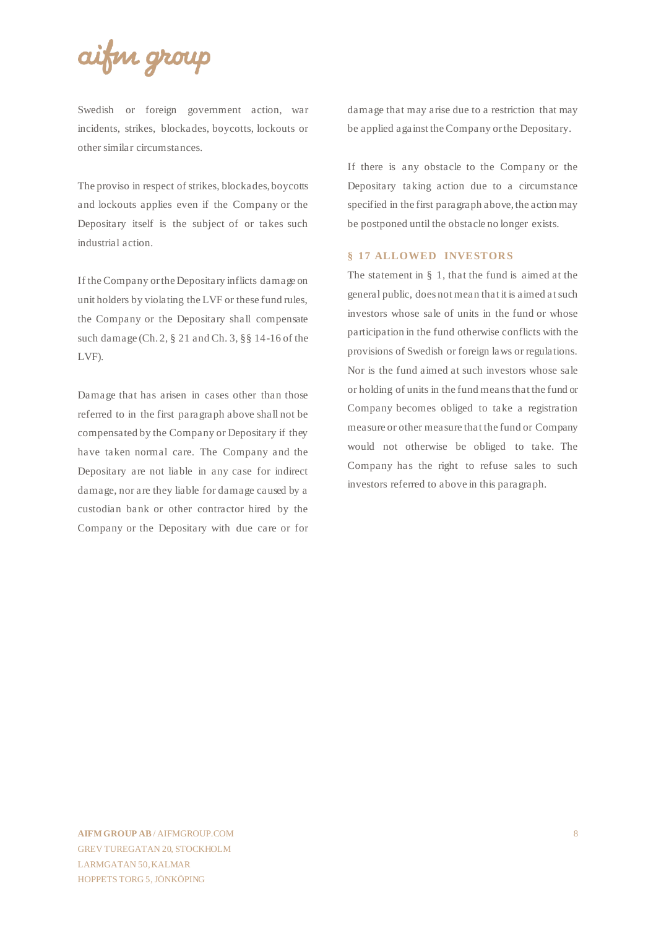

Swedish or foreign government action, war incidents, strikes, blockades, boycotts, lockouts or other similar circumstances.

The proviso in respect of strikes, blockades, boycotts and lockouts applies even if the Company or the Depositary itself is the subject of or takes such industrial action.

If the Company or the Depositary inflicts damage on unit holders by violating the LVF or these fund rules, the Company or the Depositary shall compensate such damage (Ch. 2, § 21 and Ch. 3, §§ 14-16 of the LVF).

Damage that has arisen in cases other than those referred to in the first paragraph above shall not be compensated by the Company or Depositary if they have taken normal care. The Company and the Depositary are not liable in any case for indirect damage, nor are they liable for damage caused by a custodian bank or other contractor hired by the Company or the Depositary with due care or for damage that may arise due to a restriction that may be applied against the Company or the Depositary.

If there is any obstacle to the Company or the Depositary taking action due to a circumstance specified in the first paragraph above, the action may be postponed until the obstacle no longer exists.

## **§ 17 ALLOWED INVESTORS**

The statement in § 1, that the fund is aimed at the general public, does not mean that it is aimed at such investors whose sale of units in the fund or whose participation in the fund otherwise conflicts with the provisions of Swedish or foreign laws or regulations. Nor is the fund aimed at such investors whose sale or holding of units in the fund means that the fund or Company becomes obliged to take a registration measure or other measure that the fund or Company would not otherwise be obliged to take. The Company has the right to refuse sales to such investors referred to above in this paragraph.